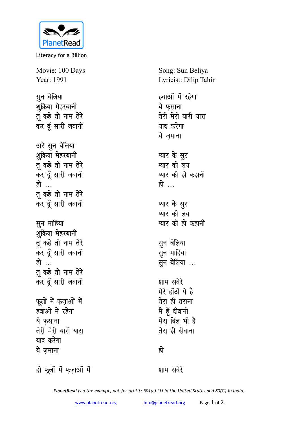

Literacy for a Billion

Movie: 100 Days Year: 1991

**सुन** बेलिया शूक्रिया मेहरबानी तू कहे तो नाम तेरे कर दूँ सारी जवानी अरे सून बेलिया शक्रिया मेहरबानी तू कहे तो नाम तेरे कर दूँ सारी जवानी हो ... तू कहे तो नाम तेरे कर दूँ सारी जवानी **सून माहिया** शूक्रिया मेहरबानी तू कहे तो नाम तेरे कर दूँ सारी जवानी हो ... तू कहे तो नाम तेरे कर दूँ सारी जवानी **फूलों में फज़ाओं में** हवाओं में रहेगा ये फसाना तेरी मेरी यारी यारा <u>याद करेगा</u> ये जमाना

Song: Sun Beliya Lyricist: Dilip Tahir

हवाओं में रहेगा ये फसाना तेरी मेरी यारी यारा याद करेगा ये जमाना

प्यार के <u>स</u>ूर प्यार की लय **प्यार की हो कहानी** हो …

प्यार के सुर **प्यार की लय प्यार की हो कहानी** 

**सून** बेलिया **H**gन माहिया सून बेलिया ...

शाम सवेरे मेरे होंठों पे है **तेरा ही तराना** मैं हूँ दीवानी मेरा दिल भी है तेरा ही दीवाना

<u>हो</u>

हो फूलों में फ़ज़ाओं में

शाम सवेरे

*PlanetRead is a tax-exempt, not-for-profit: 501(c) (3) in the United States and 80(G) in India.*